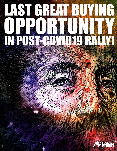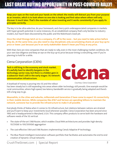**Keep your eyes on the road and your hands on the wheel: the media will distract you from your purpose as an investor, which is to look where no one else is looking and find value where others will only discover it much later. That's the mandate of value investing and it works consistently if you apply its principles correctly.**

The key is to be ultra-selective, do your homework, and cherry-pick underappreciated companies in markets with hyper-growth potential. In some instances, it's an established company that's only familiar to industry insiders, but hasn't been discovered by the public and the Robinhood crowd yet.

**Once the retail throngs latch on to a company, it's off to the races – but you need to take action before they do. At the same time, you also need to stay disciplined, only accumulating shares at your buy-up-to price or lower. Just because you're an early stakeholder doesn't mean you'll buy at any price.**

With that, here are nine companies that are ready to rally, even in the most challenging market conditions. Do your own due diligence and keep an eye on the buy-up-to price because timing is everything, even if you're planning to hold for a while.

### Ciena Corporation (CIEN)

**Tech is still king in the economy and stock market. It's awfully hard to identify bargains in the technology sector now, but there is a hidden gem in a subsector that's still in the early stages: 5G network communication infrastructure.**



A boatload of money is pouring into 5G and the rollout

Courtesy: Ciena Corporation

has been steady but is still expanding into areas where older technology still prevails. One example would be rural communities, where high-speed, low-latency bandwidth service is gradually being adopted and there's still a long way to go.

### **Meanwhile, in the cities and suburbs, millennials and Generation Z have come to expect 5G connectivity in their mobile devices. While companies like AT&T and Verizon are spending billions to maintain the network, someone has to provide the infrastructure to make it all possible.**

Everybody thinks of Nokia when it comes to 5G infrastructure, but relations between nations are strained and you'll want to keep your investments local whenever possible. Ciena Corporation has been around since 1992 and is headquartered in Maryland, U.S.A. This company offers products to serve both the hardware and software needs of the 5G vertical:

- The state-of-the-art 5168 Router, which enables Cloud RAN architectures and provides high-density 10/25GbE to 100/200GbE aggregation
- The cost-effective 5164 and 5166 Routers implementing Ciena's Adaptive IP technology
- The Blue Planet Intelligent Automation software portfolio that facilitates and automates the end-to-end creation of dynamic virtual networks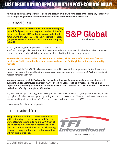**Anything below \$52.50 per share is good and below \$47 is IDEAL for a piece of the company that serves the ever-growing demand for hardware and software in the 5G network ecosystem.**

## S&P Global (SPGI)

**This might sound counterintuitive, but an older company can still find plenty of room to grow. Standard & Poor's formed way back in 1941, and while you're undoubtedly familiar with the S&P 500 large-cap stock market index, you probably haven't thought much about the company behind it.**



Even beyond that, perhaps you never considered Standard &

Poor's as a publicly-tradable entity, but it is investable under the name S&P Global and the ticker symbol SPGI and you can own a stake in this legacy company while collecting dividends along the way.

**S&P Global earns around 13% of its revenues from indices, while around 29% comes from "market intelligence," which includes data, benchmarks, and analytics for the global capital and commodity markets.**

However, nearly half of S&P Global's revenues are derived from what the company does better than anyone: ratings. There are only a small handful of recognized rating agencies in this area, and S&P is the biggest and most important one by far.

**You could even say that S&P is feared in the world of finance. Companies seeking to issue bonds will submit them for a rating, ranging from AAA to D, to S&P Global's rating division. This rating is allimportant because large-scale funds, including pension funds, look for the "seal of approval" that comes in the form of a high rating from S&P Global.**

So, while everybody's chattering about Tesla's possible inclusion in the S&P 500, companies are happy to pony up big bucks for the chance to get a high rating for their corporate bonds. Thus, you can invest like a market insider by taking a long position in SPGI stock; the ideal starter price would be \$309 or less.

LIMIT ORDER: \$316 for an initial position.

## TFI International (TFII)

**Many of those Robinhood traders are obsessed with capitalizing on the "recovery trade" as the world attempts to return to its pre-COVID way of life. Investing in beaten-down sectors like cruise lines, restaurants, and airlines can be risky during a shaky recovery – but one sector that cannot and will not stop is trucking.**



Courtesy: TFI International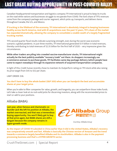Canadian-headquartered transportation and logistics company TFI International is proud to keep its trucks on the road while nations and businesses struggle to recuperate from COVID. The lion's share of TFI's revenues come from the company's package and courier segment, which picks up, transports, and delivers items throughout Canada, the U.S., and Mexico.

### **If trucking is the lifeblood of the economy, TFI International is absolutely integral to keeping businesses healthy across North America. And with 81 acquisitions over the past 12 years, TFI's share of the market has expanded dramatically, allowing the company to consolidate a sizable swath of a largely fragmented trucking market.**

TFI's second-quarter fiscal results indicate surprising strength, even during the worst-case economic scenario: a global pandemic. In just three months, TFI International generated \$1.11 billion in total revenues, thereby contributing to total revenues of \$2.35 billion for the first half of 2020 – very impressive given the circumstances.

**While other traders are piling into crowded vaccine-manufacturer stocks, TFI International might actually be the best publicly-available "recovery trade" out there. As shoppers increasingly use e-commerce avenues to purchase goods, TFI facilitates same-day package delivery (which people have come to expect nowadays) through its expansive network of acquired transportation companies.**

In light of this, Credit Suisse recently chose to maintain its Outperform rating on TFII stock while also raising its price target from \$45 to \$52 per share.

LIMIT ORDER: \$36.

### **You don't have to buy the whole basket (S&P 500) when you can handpick the best and accumulate shares at your target price.**

When you're able to filter companies for value, growth, and longevity, you can outperform those index funds. Let's take a closer look at six rock-solid picks for discerning investors, along with the recommended prices to start or add to your positions.

### Alibaba (BABA):

**Last year, when famous and charismatic cofounder Jack Ma left his position at Alibaba, the market overreacted, and that was a tremendous buying opportunity. You won't likely get to buy at that price again, but BABA shares are still a bargain because the company remains in hyper-growth mode.**



Courtesy: Alibaba Group

**As the impact of COVID-19 subsided in China earlier than it did in the United States, Alibaba's recovery was comparatively smooth and fast. Alibaba is basically the Chinese version of Amazon and the trend towards e-commerce largely benefited Alibaba and its stockholders. Alibaba is also in the payment processing business and that's a HYPER-GROWTH sector.**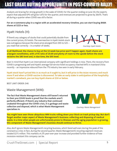Analysts are bracing for strong growth in the wake of COVID. For the quarter ending on June 30, the experts expect that adjusted EPS will grow 5.6% for the quarter, and revenues are projected to grow by 28.6%. That's all during a quarter when COVID was still a factor.

**For an e-commerce play in a region with an accelerated recovery timeline, you can start buying BABA shares at \$223 or less.**

### Hyatt Hotels (H):

If there's any category of stocks that could potentially double from the current prices, it's hotels. The overreaction in Hyatt Hotels stock was outrageous because the share price plunged from \$95 to \$25 – you read that correctly – in a matter of weeks.



Courtesy: Hyatt Hotels

**In all likelihood, the chance to buy at the 52-week low price won't happen again. Hyatt shares are a bargain nonetheless, with a P/E ratio of 20.69 and plenty of room to the upside before the stock reclaims the \$80 level and, in due time, the \$95 level.**

Bear in mind that Hyatt is an international company with significant holdings in Asia. There, the recovery from COVID is progressing well and Hyatt's average full-service hotel occupancy reached 64% in mainland China recently – an impressive rebound from the 7% industry low seen in early February.

**Hyatt stock hasn't priced this in as much as it ought to, but it will price in the Asian recovery and much more if and when a COVID vaccine is discovered. To take an early stake in anticipation of the hospitality market's comeback, you can buy Hyatt shares at \$50 or below.**

BEST LIMIT ORDER: \$46

### Waste Management (WM):

**The fact that Waste Management shares still haven't returned to their pre-COVID levels is proof that the markets aren't perfectly efficient. If there's any industry that continued unabated throughout the COVID crisis, it is garbage and waste collection and disposal, which is what Waste Management specializes in.**



Courtesy: Waste Management

**You might have seen those ubiquitous WM trucks rolling down your block on trash pickup day. But don't forget another major aspect of Waste Management's business: collecting and disposing of medical waste. In a time when people are unfortunately prone to illnesses and the aging population is growing, this component of Waste Management's business should continue to thrive.**

Also, don't ignore Waste Management's recycling business, which fared well even during the peak of the coronavirus crisis. In fact, during the second quarter, Waste Management's recycling segment revenues totaled \$275 million. This marked a 4.2% year-over-year increase and provided further evidence of how recession-resistant this company can be.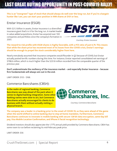**This is an "evergreen" type of stock that should always do well over the long run, but if you're a bargain hunter like I am, you can start your position in WM shares at \$101 or less.**

### Enstar Insurance (ESGR):

With \$21.3 billion in assets, Enstar Insurance is a diversified insurance giant that's in it for the long run. A market leader in value-added acquisitions, Enstar has acquired over 100 companies and portfolios since the company's formation in 2001.



Courtesy: Enstar Insurance

**The reward-to-risk profile with ESGR shares is highly favorable, with a P/E ratio of just 6.79. This means that while the share price has recovered most of its losses from the COVID crisis, Enstar's earnings should be enough to propel the stock considerably higher from here.**

Nearly everybody assumed that insurance companies would flounder in Q2 because of COVID, but Enstar actually posted terrific numbers during this time. For instance, Enstar reported consolidated net earnings of \$798.6 million, which is much higher than the \$231.8 million recorded from the comparable quarter of the previous year.

**Don't underestimate the resiliency of the insurance market – and especially Enstar Insurance – because firm fundamentals will always win out in the end.** 

LIMIT ORDER: \$155 - \$168.

### Commerce Bancshares (CBSH):

**In the realm of regional banking, Commerce Bancshares was way ahead of the pack when it comes to digital banking integration. Some other banking names were slow to act, but Commerce Bancshares actually encouraged its clients to do business with them without actually visiting a physical branch.**



Courtesy: Commerce Bancshares

**The company was a leader in e-banking prior to the onset of COVID-19, so they were ahead of the game when the world shifted to online banking due to stay-at-home mandates. Furthermore, Commerce Bancshares continues to innovate in mobile banking with secure 128-bit data encryption, same-day bill pay, Visa Mobile Location Confirmation, and iPhone X facial recognition technology.**

Dividend investors should also appreciate the 1.77% annual yield provided by Commerce Bancshares. CBSH has some room to run before reclaiming its mid-February peak price.

LIMIT ORDER: \$56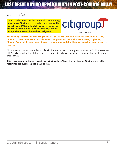## CitiGroup (C):

**If you'd prefer to stick with a household name among mega-banks, CitiGroup is as good a choice as any. The market cap of \$110.5 billion tells you everything you need to know: this is an S&P bank with a P/E ratio of just 9, CitiGroup stock is too cheap to ignore.**



Courtesy: CitiGroup

**The banking sector took a hit during the COVID onset, and CitiGroup was no exception. As a result, CitiGroup shares remain substantially below their pre-COVID price. Plus, even among big banks, CitiGroup's annual dividend yield of 3.86% is exceptional and should enhance any long-term investor's returns.**

CitiGroup's most recent quarterly fiscal data indicates a resilient company: net income of \$1.3 billion, revenues of \$19.8 billion, and best of all, the company returned \$1.1 billion of capital to its common shareholders during that quarter.

**This is a company that respects and values its investors. To get the most out of CitiGroup stock, the recommended purchase price is \$50 or less.**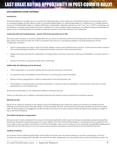### **DISCLAIMER/DISCLOSURE STATEMENT**

#### **Introduction**

We are paid advertisers through any one or several of the following entities, which entities are controlled by the same owners and other owners in varying percentages: (a) Future Money Trends, LLC, (b) Gold Standard Media, LLC; Gold Standard Media, LLC, ShtfPlan.com, LLC, Wealth Research Group, LLC, Portfolio Wealth Global, LLC, Wallace Hill Partners, Ltd (hereafter collectively referred to as "we", "our", "us", or "FMT"). As advertisers, we are publishers of publicly disseminated information on behalf of our clients, publicly traded companies, or non-affiliate third party shareholders of various issuers. As reiterated below, do not base an investment decision on any of the contents of our Publications.

#### **Conformity with Anti-Touting Statute – Section 17(b) of the Securities Act of 1933**

We receive either monetary or securities compensation for our services in conformity with the anti-touting statute under the federal securities laws, Section 17(b) of the Securities Act of 1933, as amended ("Securities Act"), and requires publishers to provide full disclosure of their compensation, as follows:

- Type of compensation (securities or cash) (if securities, whether common stock, preferred stock, warrants, or other type securities) received, or to be received (distinguish whether such compensation has been received or to be received and when).
- Identify of the party who paid the compensation, including whether such party is the Issuer, a third-party shareholder, or any other person or entity.
- Amount of securities or cash paid, and date paid or will be paid.

#### **Additionally, the following must be disclosed:**

- If the compensation is in securities, whether the securities are restricted or unrestricted.
- If a corporate entity is the publisher of the information, its control persons must be identified.
- Identity of Person paying (Direct or Indirect) compensation to the stock promoter; and
- If the Publisher is compensated by a third-party shareholder or corporate entity, the shareholder or control persons of the entity must be identified by his or her individual name.

Do Not Use Any Information in Our Publications to Make an Investment Decision

There is no information on our website or distributed otherwise that should be used as the basis for an investment decision.

#### **What We are Not**

We do not act, directly or indirectly, in the capacity of any of the following and you should not construe our activities as involving any of the following: (a) investment advisor; (b) broker dealer; (c) broker; (d) dealer; (e) stock recommender; (f) stock picker; (g) finder; (h) securities trading expert; (i) financial planner; (j) engaging in the offer and sale of securities; (k) securities analyst; (l) financial analyst; (m) providing price targets or buy or sell recommendations.

#### **From Whom We Receive Compensation**

We receive cash or stock consideration from Issuers or third-party shareholders. With respect to third party shareholders, please be advised that the SEC has interpreted compensation paid to an investor relations firm from Third Party Shareholders, is considered to have emanated from the Issuer itself. As such, any shares received from a Third Party Shareholder under such circumstances must comply with the applicable holding periods under Rule 144 of the Securities Act since such stock issuances would be considered an issuance by the Issuer and therefore restricted.

### **Conflicts of Interest**

Our activities involve multiple potential and/or actual conflicts of interest, since we receive monetary or securities compensation in the very securities we are promoting, and shortly after we receive the securities compensation, we may promote the securities and sell the securities. The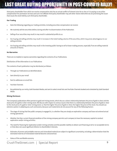third party shareholder from which we receive compensation also has an actual conflict of interest since he or she or it is paying us securities compensation for promotion services and such non-affiliate third party shareholder may sell other shares held while we are promoting the issuer that issues the stock held by such third party shareholder.

#### **Our Trading**

- Note the following regarding our trading activities, including securities compensation we receive:
- We routinely sell the securities before, during and after its dissemination of the Publication.
- Selling of our securities may result in may result in substantial profits to us.
- Our buying and selling activities may result in increases in the total trading volume of the securities, which may prove advantageous to our selling activities.
- Our buying and selling activities may result in the investing public having to sell at lower trading process, especially if we are selling material amounts of shares.

#### **No Warranties**

There are no implied or express warranties regarding the contents of our Publications.

Distribution of the Information in our Publications

The contents of each publication may be distributed, as follows:

- Through our Publications as identified above.
- Sent directly to your email
- Sent to addresses on email lists
- YouTube Channels.
- Re-published by our entity, Gold Standard Media, and sent to select email lists and YouTube Channels booked and scheduled by Gold Standard Media

#### **Mining Disclosure**

The Company's publications often pertain to gold and mining stocks, which discuss a direct relationship between the price of gold or silver and the stock price of a gold or silver mining stock. We discuss with respect to various issuers that there is a relationship between the price of gold or silver to the stock price of a gold or silver mining stock, i.e. that the higher the price of gold or silver, the higher the price of the stock. You should use extreme caution in adopting any such conclusions, because such statements do not account for any of the following factors:

- The stage of mining that the public company is engaged in, i.e. whether they are simply an exploration company and have not entered actual mining operations.
- Whether the then current financial condition of the mining company permits such company to have the necessary capital to conduct exploration and/or mining activities.
- The need for financing for exploration and/or mining activities and the possible inability to obtain such financing at all or on acceptable terms or that does not cause significant dilution to shareholders' interests.
- Estimates of proven and probable reserves and mineralized material are subject to significant uncertainty, including a determination that the estimated reserves of mineralized material become uneconomical.
- Status of the worldwide economy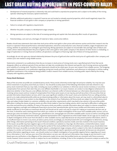- Development of mineral properties is inherently risky and could lead to unproductive properties and is subject to the ability of the mining operator obtaining the necessary capital investments
- Whether additional exploration is required if reserves are not located on already acquired properties, which would negatively impact the financial condition of such gold or silver company or properties or mining operations
- Failure to comply with regulatory requirements
- Whether the public company is a development stage company
- Mining operations are subject to the risks of increasing operating and capital risks that adversely affect results of operations
- Potential delays, cost overruns, shortages of material or labor, construction defects

Readers should view statements that state that stock prices will be track gold or silver prices with extreme caution and do their research into the Issuer's or operator's financial performance, estimated exploration, extraction and production costs, financial condition, stage of exploration and mining, whether its operations are contingent upon financing. Mining operations are subject to innumerable risks and high rates of failure and create a direct relationship between the price of gold or silver and a gold or silver public company in the absence of other factors is misleading, i.e. stage of exploration or mining, financial condition, all operations contingent on financing, high rate of failure of mining operations.

Accordingly, do not rely upon any claimed relationship between the price of gold and silver and the stock price of a gold and/or silver company, and conduct your own research using reliable sources.

Statements contained in our publications that discuss increases in stock prices of mining stocks over a specified period of time that we do designate reflects an arbitrary period of time and does not take into consideration the inherent and specific risk of mining ventures and possible price volatility of a mining stock. Therefore, these statements should not be relied upon. Do your own research from reliable sources. The foregoing also applies to statements in our publication regarding mining test results and their implications, and references to individuals or entities making significant investments in the companies being profiled. Conduct research from reliable sources, including public reports filed by the mining company with regulatory authorities.

#### **Penny Stock Disclosure**

Many of the securities we profile are considered penny stocks. Penny stocks inherently involve high risk and price volatility. You may lose your entire investment in any penny stock that you invest in. You should be acutely aware of the following information and risks inherent in any penny stock investment that you may make, including any issuer profiled on our websites or otherwise: (a) we receive monetary or securities compensation from persons that claim they are a non-affiliate shareholder or an issuer; however, we conduct no due diligence whatsoever to determine whether in fact they are a non-affiliate; (b) there is an inherent conflict of interest between our information dissemination services involving various issuers and our receipt of compensation from those same issuers; (c) we may buy and sell securities in the securities that we provide information dissemination services, which may cause significant volatility in the issuer's stock, price declines from our selling activities, permit us to make substantial profits while we are disseminating profiles or information about the issuer, yet may result in a diminished value to the stock for investors; (c) we conduct no due diligence on the content of our Publications; (d) Penny stocks are subject to the SEC's penny stock rules and subject broker-dealers to customer suitability rules and other requirements, which may lead to low volume in the securities and/or difficulties in selling the shares; (e) penny stocks are often thinly traded or have low trading volume, which may lead to difficulties in selling your securities and extreme price volatility; (f) many of the penny stocks we profile or provide information about are subject to intense competition, extreme regulatory oversight and inadequate financing to pursue their operational plan; (g) the issuer profiles and information we provide is wholly insufficient to formulate an investment decision and should not be used in any way as a basis for making an investment decision and, at the most, it should be used a starting point from which you conduct an in-depth investigation of the issuer from available public sources, such as www.sec.gov, www otcmarkets.com, www.sec.gov, yahoofinance.com, www.google.com and other available public sources as well as consulting with your financial professional, investment adviser, registered representative with a registered securities broker-dealer; (h) we urge you to conduct an in-depth investigation of the issuer from the above or other available sources, especially because we only present positive information, which is an insufficient basis to invest in any stock, yet alone a penny stock; accordingly, you should proceed with such investigation to determine, among other things, information pertaining to the issuer's financial condition, operations, business model, and risks involved in the issuer's business; (i) the issuers we profile may have negative signs on the otcmarkets.com website (i.e. Stop Sign, No Information, Limited Information, Caveat Emptor), which you should determine from entering the symbol of the stock profiled into the otcmarkets.com website; (j) you should determine whether the issuer we profile or provide information about is a development stage company, which is subject to the risks of a development stage company in a similar such business, including difficulties in obtaining financing for operations and future growth; (k) because we only present positive information regarding an issuer, ; you should conduct an in-depth investigation of any possible negative factors regarding such issuer; (l) our information is "as is" and you your use of the information is at your own risk and such information may change at any time and it is not based upon any verification or due diligence of the statements made; (m) we state that profiled stocks are consistent with future economic trends; however, future economic trends or analysis has its own limitations, including: (i) due to the complexity of economic analysis as well as the